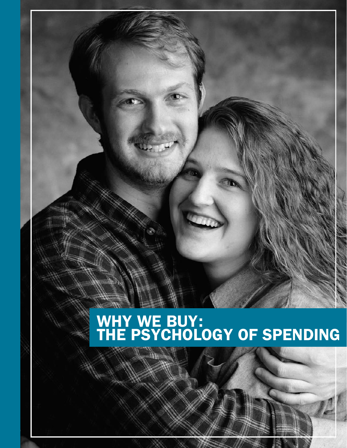# WHY WE BUY: THE PSYCHOLOGY OF SPENDING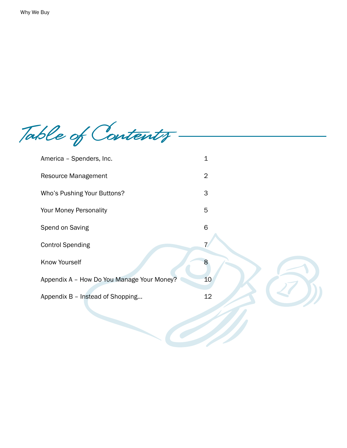Table of Contents -

| America - Spenders, Inc.                   | $\mathbf 1$    |
|--------------------------------------------|----------------|
| Resource Management                        | $\overline{2}$ |
| Who's Pushing Your Buttons?                | $\mathsf 3$    |
| Your Money Personality                     | 5              |
| Spend on Saving                            | $\mathsf 6$    |
| <b>Control Spending</b>                    |                |
| Know Yourself                              | 8              |
| Appendix A - How Do You Manage Your Money? | 10             |
| Appendix B - Instead of Shopping           | 12             |
|                                            |                |
|                                            |                |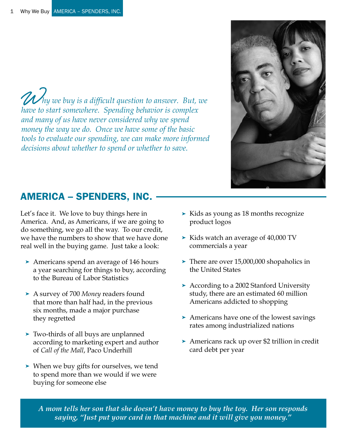W *hy we buy is a difficult question to answer. But, we have to start somewhere. Spending behavior is complex and many of us have never considered why we spend money the way we do. Once we have some of the basic tools to evaluate our spending, we can make more informed decisions about whether to spend or whether to save.*

# AMERICA – SPENDERS, INC.

Let's face it. We love to buy things here in America. And, as Americans, if we are going to do something, we go all the way. To our credit, we have the numbers to show that we have done real well in the buying game. Just take a look:

- ➤ Americans spend an average of 146 hours a year searching for things to buy, according to the Bureau of Labor Statistics
- ➤ A survey of 700 *Money* readers found that more than half had, in the previous six months, made a major purchase they regretted
- ➤ Two-thirds of all buys are unplanned according to marketing expert and author of *Call of the Mall*, Paco Underhill
- ➤ When we buy gifts for ourselves, we tend to spend more than we would if we were buying for someone else
- ➤ Kids as young as 18 months recognize product logos
- ➤ Kids watch an average of 40,000 TV commercials a year
- ➤ There are over 15,000,000 shopaholics in the United States
- ➤ According to a 2002 Stanford University study, there are an estimated 60 million Americans addicted to shopping
- ➤ Americans have one of the lowest savings rates among industrialized nations
- ➤ Americans rack up over \$2 trillion in credit card debt per year

*A mom tells her son that she doesn't have money to buy the toy. Her son responds saying, "Just put your card in that machine and it will give you money."*

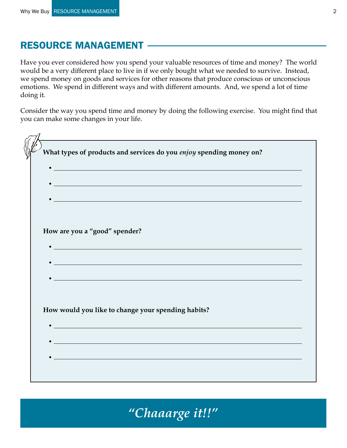### RESOURCE MANAGEMENT

Have you ever considered how you spend your valuable resources of time and money? The world would be a very different place to live in if we only bought what we needed to survive. Instead, we spend money on goods and services for other reasons that produce conscious or unconscious emotions. We spend in different ways and with different amounts. And, we spend a lot of time doing it.

Consider the way you spend time and money by doing the following exercise. You might find that you can make some changes in your life.

| What types of products and services do you enjoy spending money on?<br><u> 1989 - Johann Stoff, amerikansk politiker (d. 1989)</u><br><u> 1989 - Johann Stoff, amerikansk politiker (* 1908)</u><br><u> 1999 - Johann John Stone, meilicher Stone und der Stone und der Stone und der Stone und der Stone und der Sto</u><br>How are you a "good" spender?<br><u> 1999 - Johann Stoff, amerikansk politiker (d. 1989)</u><br><u> 1989 - Johann Stoff, amerikansk politiker (d. 1989)</u><br>How would you like to change your spending habits?<br><u> 1989 - Johann Barbara, martxa alemaniar arg</u> |                                                                                                                        |
|-------------------------------------------------------------------------------------------------------------------------------------------------------------------------------------------------------------------------------------------------------------------------------------------------------------------------------------------------------------------------------------------------------------------------------------------------------------------------------------------------------------------------------------------------------------------------------------------------------|------------------------------------------------------------------------------------------------------------------------|
|                                                                                                                                                                                                                                                                                                                                                                                                                                                                                                                                                                                                       |                                                                                                                        |
|                                                                                                                                                                                                                                                                                                                                                                                                                                                                                                                                                                                                       |                                                                                                                        |
|                                                                                                                                                                                                                                                                                                                                                                                                                                                                                                                                                                                                       |                                                                                                                        |
|                                                                                                                                                                                                                                                                                                                                                                                                                                                                                                                                                                                                       |                                                                                                                        |
|                                                                                                                                                                                                                                                                                                                                                                                                                                                                                                                                                                                                       |                                                                                                                        |
|                                                                                                                                                                                                                                                                                                                                                                                                                                                                                                                                                                                                       |                                                                                                                        |
|                                                                                                                                                                                                                                                                                                                                                                                                                                                                                                                                                                                                       |                                                                                                                        |
|                                                                                                                                                                                                                                                                                                                                                                                                                                                                                                                                                                                                       |                                                                                                                        |
|                                                                                                                                                                                                                                                                                                                                                                                                                                                                                                                                                                                                       |                                                                                                                        |
|                                                                                                                                                                                                                                                                                                                                                                                                                                                                                                                                                                                                       |                                                                                                                        |
|                                                                                                                                                                                                                                                                                                                                                                                                                                                                                                                                                                                                       |                                                                                                                        |
|                                                                                                                                                                                                                                                                                                                                                                                                                                                                                                                                                                                                       |                                                                                                                        |
|                                                                                                                                                                                                                                                                                                                                                                                                                                                                                                                                                                                                       |                                                                                                                        |
|                                                                                                                                                                                                                                                                                                                                                                                                                                                                                                                                                                                                       |                                                                                                                        |
|                                                                                                                                                                                                                                                                                                                                                                                                                                                                                                                                                                                                       |                                                                                                                        |
|                                                                                                                                                                                                                                                                                                                                                                                                                                                                                                                                                                                                       |                                                                                                                        |
|                                                                                                                                                                                                                                                                                                                                                                                                                                                                                                                                                                                                       |                                                                                                                        |
|                                                                                                                                                                                                                                                                                                                                                                                                                                                                                                                                                                                                       | <u> 1989 - Johann Stoff, deutscher Stoffen und der Stoffen und der Stoffen und der Stoffen und der Stoffen und der</u> |
| $\bullet$ , and the contract of the contract of the contract of the contract of the contract of the contract of the contract of the contract of the contract of the contract of the contract of the contract of the contract of th                                                                                                                                                                                                                                                                                                                                                                    |                                                                                                                        |
|                                                                                                                                                                                                                                                                                                                                                                                                                                                                                                                                                                                                       |                                                                                                                        |
|                                                                                                                                                                                                                                                                                                                                                                                                                                                                                                                                                                                                       |                                                                                                                        |

*"Chaaarge it!!"*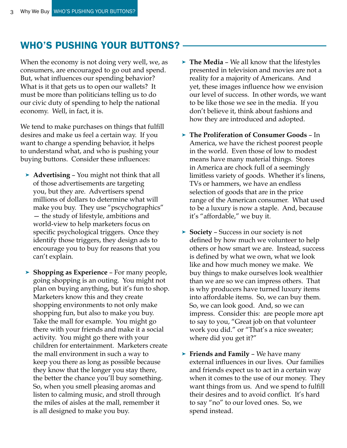# WHO'S PUSHING YOUR BUTTONS?

When the economy is not doing very well, we, as consumers, are encouraged to go out and spend. But, what influences our spending behavior? What is it that gets us to open our wallets? It must be more than politicians telling us to do our civic duty of spending to help the national economy. Well, in fact, it is.

We tend to make purchases on things that fulfill desires and make us feel a certain way. If you want to change a spending behavior, it helps to understand what, and who is pushing your buying buttons. Consider these influences:

- ➤ **Advertising** You might not think that all of those advertisements are targeting you, but they are. Advertisers spend millions of dollars to determine what will make you buy. They use "pscychographics" — the study of lifestyle, ambitions and world-view to help marketers focus on specific psychological triggers. Once they identify those triggers, they design ads to encourage you to buy for reasons that you can't explain.
- ➤ **Shopping as Experience** For many people, going shopping is an outing. You might not plan on buying anything, but it's fun to shop. Marketers know this and they create shopping environments to not only make shopping fun, but also to make you buy. Take the mall for example. You might go there with your friends and make it a social activity. You might go there with your children for entertainment. Marketers create the mall environment in such a way to keep you there as long as possible because they know that the longer you stay there, the better the chance you'll buy something. So, when you smell pleasing aromas and listen to calming music, and stroll through the miles of aisles at the mall, remember it is all designed to make you buy.
- ➤ **The Media** We all know that the lifestyles presented in television and movies are not a reality for a majority of Americans. And yet, these images influence how we envision our level of success. In other words, we want to be like those we see in the media. If you don't believe it, think about fashions and how they are introduced and adopted.
- ➤ **The Proliferation of Consumer Goods** In America, we have the richest poorest people in the world. Even those of low to modest means have many material things. Stores in America are chock full of a seemingly limitless variety of goods. Whether it's linens, TVs or hammers, we have an endless selection of goods that are in the price range of the American consumer. What used to be a luxury is now a staple. And, because it's "affordable," we buy it.
- ➤ **Society** Success in our society is not defined by how much we volunteer to help others or how smart we are. Instead, success is defined by what we own, what we look like and how much money we make. We buy things to make ourselves look wealthier than we are so we can impress others. That is why producers have turned luxury items into affordable items. So, we can buy them. So, we can look good. And, so we can impress. Consider this: are people more apt to say to you, "Great job on that volunteer work you did." or "That's a nice sweater; where did you get it?"
- ➤ **Friends and Family** We have many external influences in our lives. Our families and friends expect us to act in a certain way when it comes to the use of our money. They want things from us. And we spend to fulfill their desires and to avoid conflict. It's hard to say "no" to our loved ones. So, we spend instead.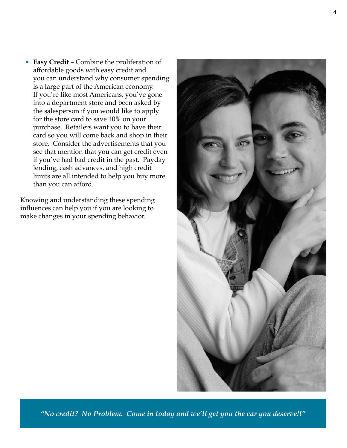➤ **Easy Credit** – Combine the proliferation of affordable goods with easy credit and you can understand why consumer spending is a large part of the American economy. If you're like most Americans, you've gone into a department store and been asked by the salesperson if you would like to apply for the store card to save 10% on your purchase. Retailers want you to have their card so you will come back and shop in their store. Consider the advertisements that you see that mention that you can get credit even if you've had bad credit in the past. Payday lending, cash advances, and high credit limits are all intended to help you buy more than you can afford.

Knowing and understanding these spending influences can help you if you are looking to make changes in your spending behavior.



*"No credit? No Problem. Come in today and we'll get you the car you deserve!!"*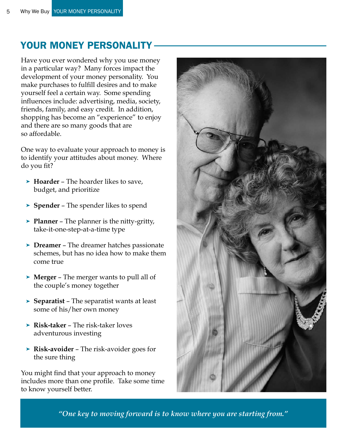# YOUR MONEY PERSONALITY

Have you ever wondered why you use money in a particular way? Many forces impact the development of your money personality. You make purchases to fulfill desires and to make yourself feel a certain way. Some spending influences include: advertising, media, society, friends, family, and easy credit. In addition, shopping has become an "experience" to enjoy and there are so many goods that are so affordable.

One way to evaluate your approach to money is to identify your attitudes about money. Where do you fit?

- ➤ **Hoarder** The hoarder likes to save, budget, and prioritize
- ➤ **Spender** The spender likes to spend
- ➤ **Planner** The planner is the nitty-gritty, take-it-one-step-at-a-time type
- ➤ **Dreamer** The dreamer hatches passionate schemes, but has no idea how to make them come true
- ➤ **Merger** The merger wants to pull all of the couple's money together
- ➤ **Separatist** The separatist wants at least some of his/her own money
- ➤ **Risk-taker** The risk-taker loves adventurous investing
- ➤ **Risk-avoider** The risk-avoider goes for the sure thing

You might find that your approach to money includes more than one profile. Take some time to know yourself better.



*"One key to moving forward is to know where you are starting from."*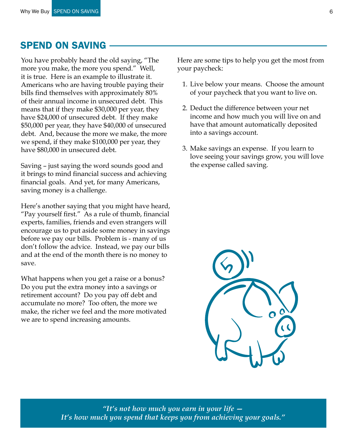### SPEND ON SAVING

You have probably heard the old saying, "The more you make, the more you spend." Well, it is true. Here is an example to illustrate it. Americans who are having trouble paying their bills find themselves with approximately 80% of their annual income in unsecured debt. This means that if they make \$30,000 per year, they have \$24,000 of unsecured debt. If they make \$50,000 per year, they have \$40,000 of unsecured debt. And, because the more we make, the more we spend, if they make \$100,000 per year, they have \$80,000 in unsecured debt.

Saving – just saying the word sounds good and it brings to mind financial success and achieving financial goals. And yet, for many Americans, saving money is a challenge.

Here's another saying that you might have heard, "Pay yourself first." As a rule of thumb, financial experts, families, friends and even strangers will encourage us to put aside some money in savings before we pay our bills. Problem is - many of us don't follow the advice. Instead, we pay our bills and at the end of the month there is no money to save.

What happens when you get a raise or a bonus? Do you put the extra money into a savings or retirement account? Do you pay off debt and accumulate no more? Too often, the more we make, the richer we feel and the more motivated we are to spend increasing amounts.

Here are some tips to help you get the most from your paycheck:

- 1. Live below your means. Choose the amount of your paycheck that you want to live on.
- 2. Deduct the difference between your net income and how much you will live on and have that amount automatically deposited into a savings account.
- 3. Make savings an expense. If you learn to love seeing your savings grow, you will love the expense called saving.



*"It's not how much you earn in your life — It's how much you spend that keeps you from achieving your goals."*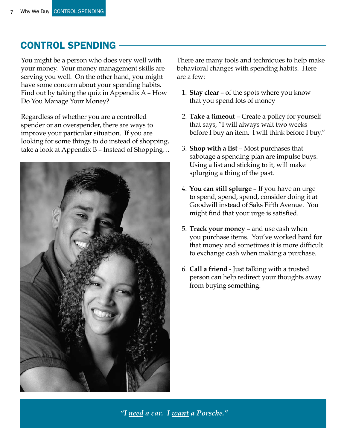## CONTROL SPENDING

You might be a person who does very well with your money. Your money management skills are serving you well. On the other hand, you might have some concern about your spending habits. Find out by taking the quiz in Appendix A – How Do You Manage Your Money?

Regardless of whether you are a controlled spender or an overspender, there are ways to improve your particular situation. If you are looking for some things to do instead of shopping, take a look at Appendix B – Instead of Shopping…



There are many tools and techniques to help make behavioral changes with spending habits. Here are a few:

- 1. **Stay clear** of the spots where you know that you spend lots of money
- 2. **Take a timeout** Create a policy for yourself that says, "I will always wait two weeks before I buy an item. I will think before I buy."
- 3. **Shop with a list** Most purchases that sabotage a spending plan are impulse buys. Using a list and sticking to it, will make splurging a thing of the past.
- 4. **You can still splurge** If you have an urge to spend, spend, spend, consider doing it at Goodwill instead of Saks Fifth Avenue. You might find that your urge is satisfied.
- 5. **Track your money** and use cash when you purchase items. You've worked hard for that money and sometimes it is more difficult to exchange cash when making a purchase.
- 6. **Call a friend** Just talking with a trusted person can help redirect your thoughts away from buying something.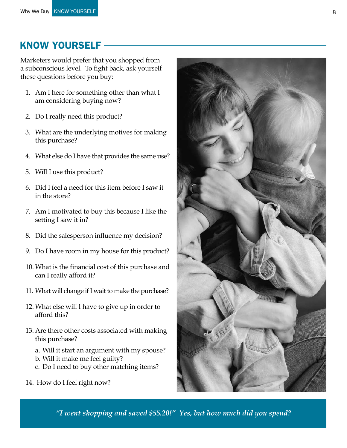### KNOW YOURSELF

Marketers would prefer that you shopped from a subconscious level. To fight back, ask yourself these questions before you buy:

- 1. Am I here for something other than what I am considering buying now?
- 2. Do I really need this product?
- 3. What are the underlying motives for making this purchase?
- 4. What else do I have that provides the same use?
- 5. Will I use this product?
- 6. Did I feel a need for this item before I saw it in the store?
- 7. Am I motivated to buy this because I like the setting I saw it in?
- 8. Did the salesperson influence my decision?
- 9. Do I have room in my house for this product?
- 10. What is the financial cost of this purchase and can I really afford it?
- 11. What will change if I wait to make the purchase?
- 12. What else will I have to give up in order to afford this?
- 13. Are there other costs associated with making this purchase?
	- a. Will it start an argument with my spouse?
	- b. Will it make me feel guilty?
	- c. Do I need to buy other matching items?
- 14. How do I feel right now?



*"I went shopping and saved \$55.20!" Yes, but how much did you spend?*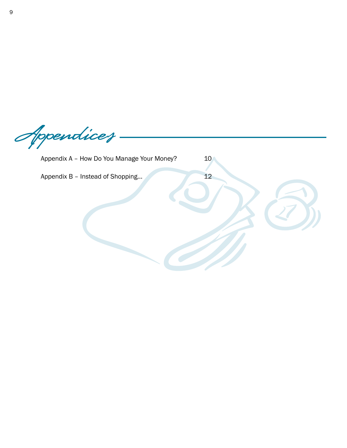Appendices

Appendix A - How Do You Manage Your Money? 10

Appendix B – Instead of Shopping... 12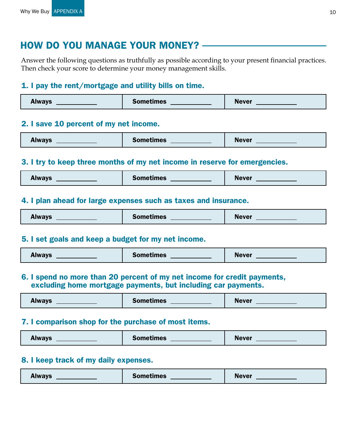### How Do You Manage Your Money?

Answer the following questions as truthfully as possible according to your present financial practices. Then check your score to determine your money management skills.

#### 1. I pay the rent/mortgage and utility bills on time.

| <b>Always</b> | <b>Sometimes</b> | - -<br><b>Never</b> |
|---------------|------------------|---------------------|
|---------------|------------------|---------------------|

#### 2. I save 10 percent of my net income.

| Always | <b>Sometimes</b> | <b>Never</b> |
|--------|------------------|--------------|
|--------|------------------|--------------|

#### 3. I try to keep three months of my net income in reserve for emergencies.

| <b>Always</b> | <b>Sometimes</b> | <b>Never</b> |
|---------------|------------------|--------------|
|---------------|------------------|--------------|

#### 4. I plan ahead for large expenses such as taxes and insurance.

| <b>Always</b> | <b>Sometimes</b> | <b>Never</b> |
|---------------|------------------|--------------|
|---------------|------------------|--------------|

#### 5. I set goals and keep a budget for my net income.

| . .<br><b>Always</b> | <b>Sometimes</b> | <b>Never</b> |
|----------------------|------------------|--------------|
|----------------------|------------------|--------------|

#### 6. I spend no more than 20 percent of my net income for credit payments, excluding home mortgage payments, but including car payments.

| <b>Always</b> | <b>Sometimes</b> | <b>Never</b> |
|---------------|------------------|--------------|
|---------------|------------------|--------------|

#### 7. I comparison shop for the purchase of most items.

#### 8. I keep track of my daily expenses.

| <b>Always</b> | <b>Sometimes</b> | . .<br><b>Never</b> |
|---------------|------------------|---------------------|
|---------------|------------------|---------------------|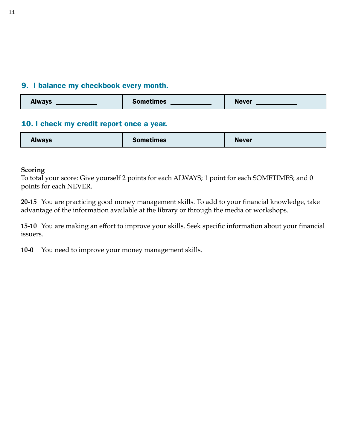#### 9. I balance my checkbook every month.

| <b>Always</b> | <b>Sometimes</b> | <b>Never</b> |
|---------------|------------------|--------------|
|---------------|------------------|--------------|

#### 10. I check my credit report once a year.

| <b>Always</b> | <b>Sometimes</b> | <b>Never</b> |
|---------------|------------------|--------------|
|---------------|------------------|--------------|

#### **Scoring**

To total your score: Give yourself 2 points for each ALWAYS; 1 point for each SOMETIMES; and 0 points for each NEVER.

**20-15** You are practicing good money management skills. To add to your financial knowledge, take advantage of the information available at the library or through the media or workshops.

**15-10** You are making an effort to improve your skills. Seek specific information about your financial issuers.

**10-0** You need to improve your money management skills.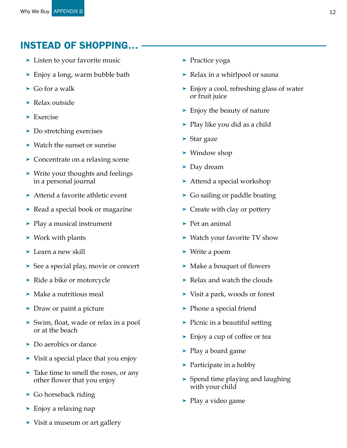## Instead of Shopping…

- ➤ Listen to your favorite music
- ➤ Enjoy a long, warm bubble bath
- $\blacktriangleright$  Go for a walk
- ➤ Relax outside
- ➤ Exercise
- ➤ Do stretching exercises
- ➤ Watch the sunset or sunrise
- ➤ Concentrate on a relaxing scene
- ➤ Write your thoughts and feelings in a personal journal
- ➤ Attend a favorite athletic event
- ➤ Read a special book or magazine
- ➤ Play a musical instrument
- ➤ Work with plants
- ➤ Learn a new skill
- ➤ See a special play, movie or concert
- ➤ Ride a bike or motorcycle
- ➤ Make a nutritious meal
- ➤ Draw or paint a picture
- ➤ Swim, float, wade or relax in a pool or at the beach
- ➤ Do aerobics or dance
- ➤ Visit a special place that you enjoy
- ➤ Take time to smell the roses, or any other flower that you enjoy
- ➤ Go horseback riding
- ➤ Enjoy a relaxing nap
- ➤ Visit a museum or art gallery
- ➤ Practice yoga
- ➤ Relax in a whirlpool or sauna
- ➤ Enjoy a cool, refreshing glass of water or fruit juice
- ➤ Enjoy the beauty of nature
- ➤ Play like you did as a child
- ➤ Star gaze
- ➤ Window shop
- ➤ Day dream
- ➤ Attend a special workshop
- ➤ Go sailing or paddle boating
- ➤ Create with clay or pottery
- $\blacktriangleright$  Pet an animal
- ➤ Watch your favorite TV show
- ➤ Write a poem
- ➤ Make a bouquet of flowers
- ➤ Relax and watch the clouds
- ➤ Visit a park, woods or forest
- ➤ Phone a special friend
- ➤ Picnic in a beautiful setting
- ➤ Enjoy a cup of coffee or tea
- ➤ Play a board game
- ➤ Participate in a hobby
- ➤ Spend time playing and laughing with your child
- ➤ Play a video game